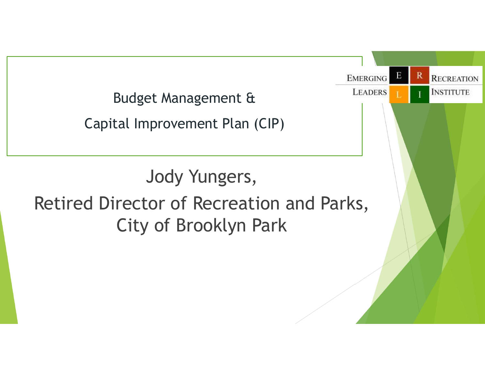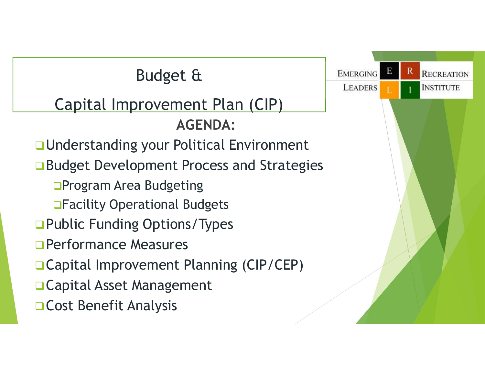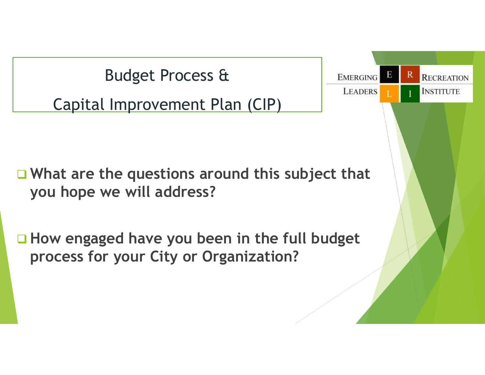Budget Process & Capital Improvement Plan (CIP)

 $\Box$  What are the questions around this subject that you hope we will address?

 $\Box$  How engaged have you been in the full budget process for your City or Organization?

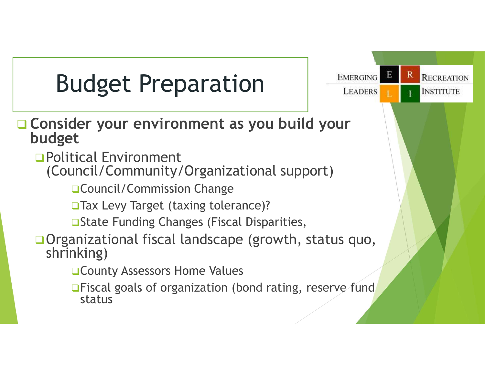## Budget Preparation | **EMERGING**

- Consider your environment as you build your<br>budget
	- Political Environment
		- (Council/Community/Organizational support)
			- **QCouncil/Commission Change**
			- □ Tax Levy Target (taxing tolerance)?
			- **□State Funding Changes (Fiscal Disparities,**
	- Organizational fiscal landscape (growth, status quo, shrinking)
		- **□ County Assessors Home Values**
		- **□Fiscal goals of organization (bond rating, reserve fund** status

Е

R

**RECREATION**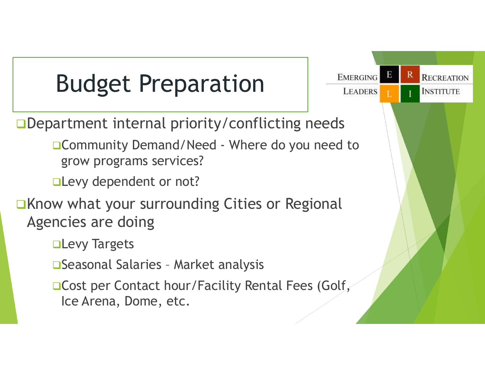## Budget Preparation | **EMERGING**

**□Department internal priority/conflicting needs** 

**Budget Preparation**<br>
EMERGING B R<br>
READERS L<br>
Community Demand/Need - Where do you need to<br>
grow programs services?<br>
Levy dependent or not? grow programs services?

**QLevy dependent or not?** 

■Know what your surrounding Cities or Regional Agencies are doing artment internal priority/conflicting needs<br>
□Community Demand/Need - Where do you need to<br>
grow programs services?<br>
□Levy dependent or not?<br>
w what your surrounding Cities or Regional<br>
ncies are doing<br>
□Levy Targets<br>
□Se

**QLevy Targets** 

**□Cost per Contact hour/Facility Rental Fees (Golf,** Ice Arena, Dome, etc.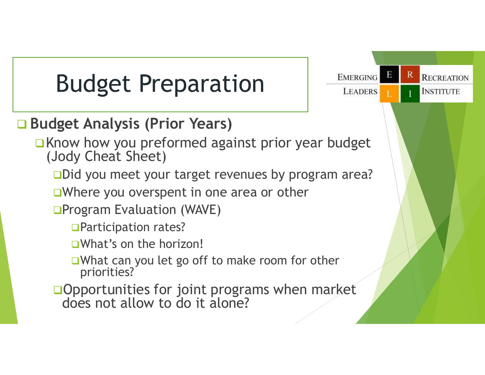## Budget Preparation | **EMERGING**

#### **□ Budget Analysis (Prior Years)**

 $\Box$  Know how you preformed against prior year budget (Jody Cheat Sheet)

□Did you meet your target revenues by program area?

Е

R

**RECREATION** 

- ■Where you overspent in one area or other
- **OProgram Evaluation (WAVE)** 
	- □ Participation rates?
	- What's on the horizon!
	- ■What can you let go off to make room for other priorities?
- **Opportunities for joint programs when market** does not allow to do it alone?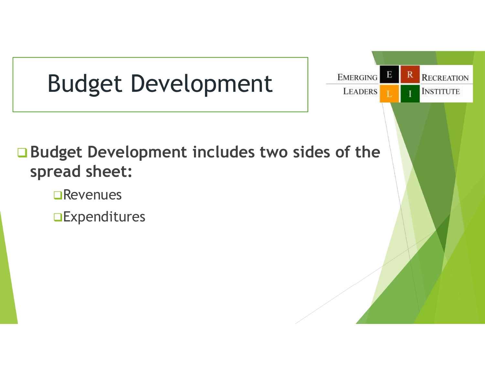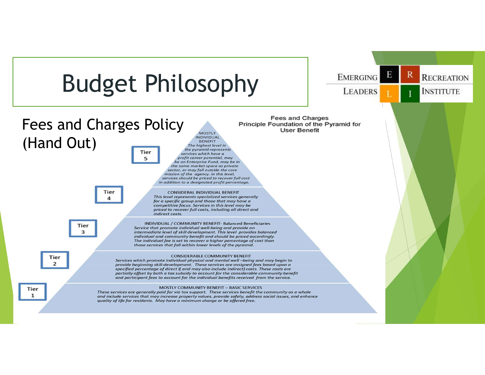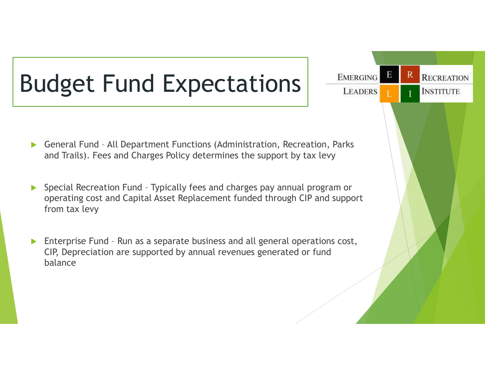# Budget Fund Expectations **EMERGING** General Fund – All Department Functions (Administration, Recreation, Parks and Trails). Fees and Charges Policy determines the support by tax levy

and Trails). Fees and Charges Policy determines the support by tax levy

**RECREATION** 

- Sudget Fund Expectations<br>
Seneral Fund All Department Functions (Administration, Recreation, Parks<br>
and Trails). Fees and Charges Policy determines the support by tax levy<br>
Special Recreation Fund Typically fees and ch operating cost and Capital Asset Replacement funded through CIP and support from tax levy Enterprise Fund - Run as a separate business and all general operation, Parks<br>
A General Fund - All Department Functions (Administration, Recreation, Parks<br>
A Special Recreation Fund - Typically fees and charges pay annual
- CIP, Depreciation are supported by annual revenues generated or fund balance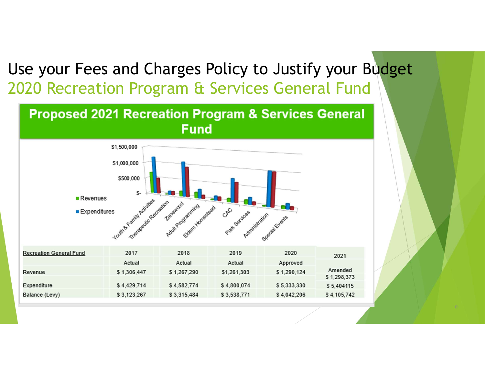#### Use your Fees and Charges Policy to Justify your Budget 2020 Recreation Program & Services General Fund

#### **Proposed 2021 Recreation Program & Services General Fund**

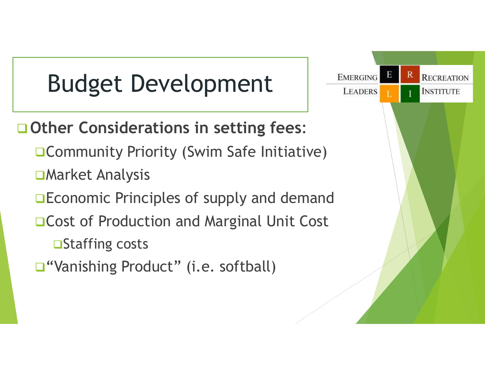## Budget Development | **EMERGING**

#### **□ Other Considerations in setting fees:**

- **□ Community Priority (Swim Safe Initiative)**
- Market Analysis
- **□Economic Principles of supply and demand**
- **□ Cost of Production and Marginal Unit Cost** 
	- **□Staffing costs**
- □ "Vanishing Product" (i.e. softball)

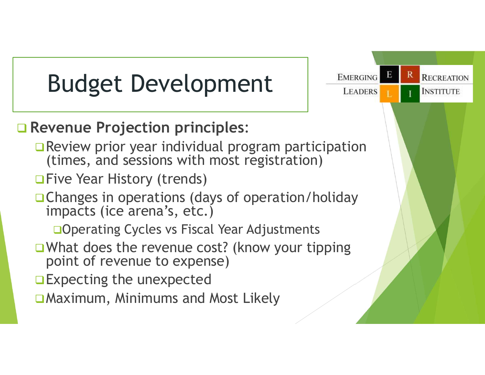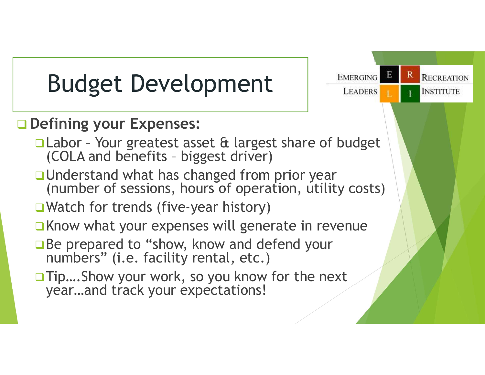# Budget Development | **EMERGING**

#### **Q** Defining your Expenses:

- Budget Development<br>
Defining your Expenses:<br>
Defining your Expenses:<br>
CLabor Your greatest asset & largest share of budget<br>
(COLA and benefits biggest driver)<br>
DUnderstand what has changed from prior year Budget Development<br>
Fining your Expenses:<br>
Labor - Your greatest asset & largest share of budget<br>
(COLA and benefits - biggest driver)<br>
Understand what has changed from prior year<br>
(number of sessions, hours of operation,
- □ Understand what has changed from prior year (number of sessions, hours of operation, utility costs)
- **■Watch for trends (five-year history)**
- $\Box$ Know what your expenses will generate in revenue
- **□Be prepared to "show, know and defend your** numbers" (i.e. facility rental, etc.)
- **□ Tip....Show your work, so you know for the next** year…and track your expectations!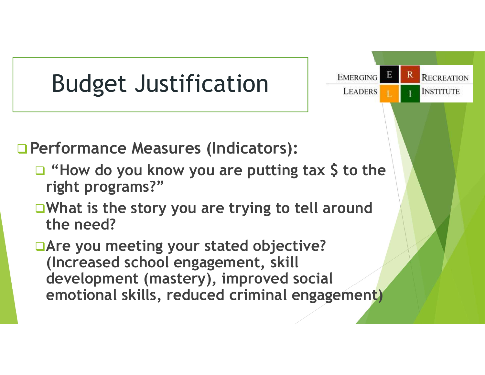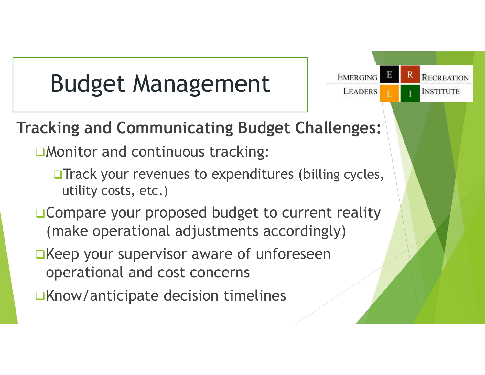## Budget Management | **EMERGING**

#### Tracking and Communicating Budget Challenges:

■Monitor and continuous tracking:

**OTrack your revenues to expenditures (billing cycles,** utility costs, etc.)

Е

**LEADERS** 

**RECREATION** 

**INSTITUTE** 

**□ Compare your proposed budget to current reality** (make operational adjustments accordingly)

- $\Box$ Keep your supervisor aware of unforeseen operational and cost concerns
- $\Box$ Know/anticipate decision timelines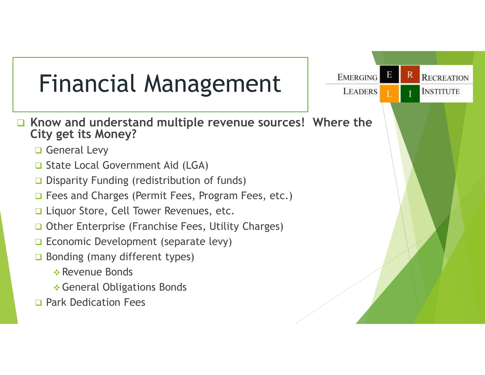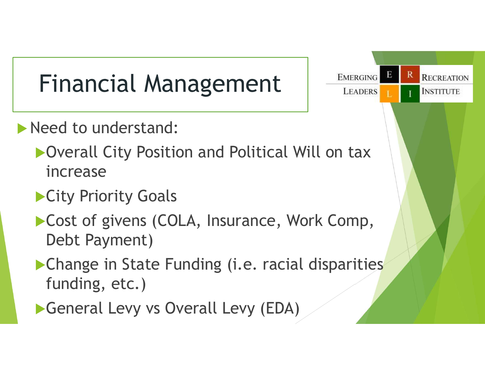## Financial Management | **EMERGING**

- Need to understand:
	- Overall City Position and Political Will on tax increase
	- **City Priority Goals**
	- ▶ Cost of givens (COLA, Insurance, Work Comp, Debt Payment)
	- **Change in State Funding (i.e. racial disparities** funding, etc.)
	- General Levy vs Overall Levy (EDA)

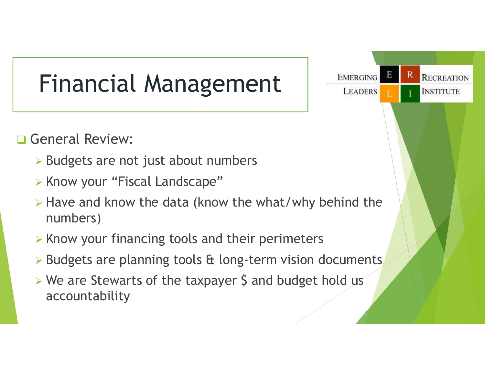#### Financial Management | **EMERGING**

#### **General Review:**

- $\triangleright$  Budgets are not just about numbers
- **EXA)** X Know your "Fiscal Landscape"
- $\triangleright$  Have and know the data (know the what/why behind the numbers)
- $\triangleright$  Know your financing tools and their perimeters
- $\triangleright$  Budgets are planning tools & long-term vision documents
- $\triangleright$  We are Stewarts of the taxpayer \$ and budget hold us accountability

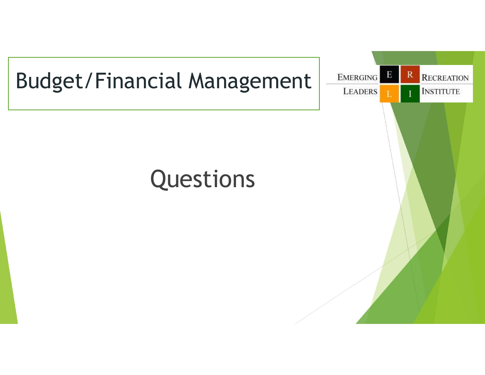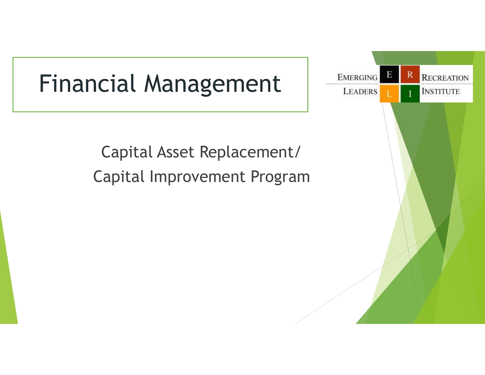#### Financial Management | **EMERGING**

Capital Asset Replacement/ Capital Improvement Program

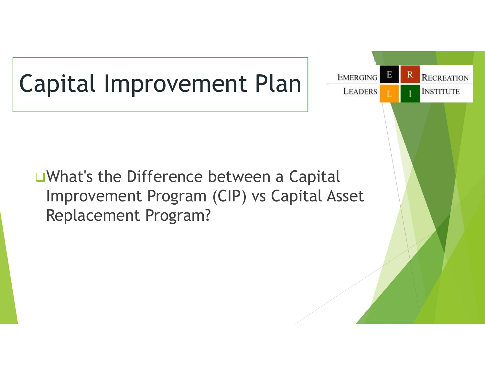## Capital Improvement Plan FLEADERS

■What's the Difference between a Capital Improvement Program (CIP) vs Capital Asset Replacement Program?

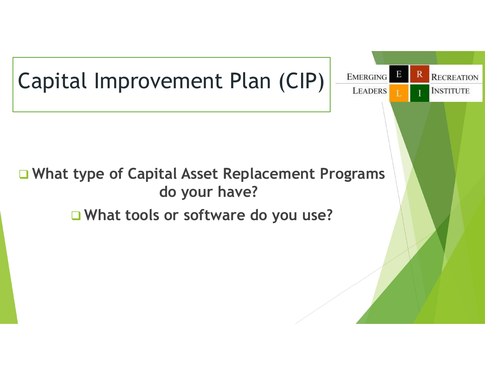

#### □ What type of Capital Asset Replacement Programs do your have?

R

**RECREATION** 

**INSTITUTE** 

E

What tools or software do you use?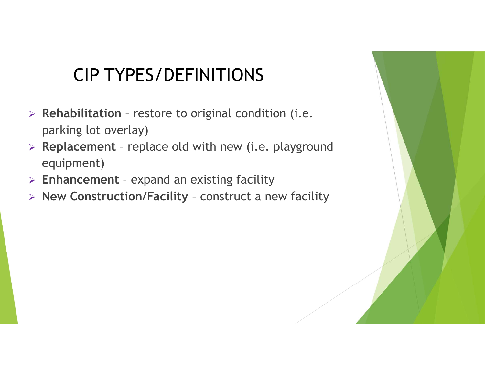#### CIP TYPES/DEFINITIONS

- CIP TYPES/DEFINITIONS<br>
> Rehabilitation restore to original condition (i.e.<br>
parking lot overlay)<br>
> Replacement replace old with new (i.e. playground parking lot overlay)
- CIP TYPES/DEFINITIONS<br>
> Rehabilitation restore to original condition (i.e.<br>
parking lot overlay)<br>
> Replacement replace old with new (i.e. playground<br>
equipment)<br>
> Enhancement expand an existing facility equipment) **CIP TYPES/DEFINITIONS**<br>
> Rehabilitation - restore to original condition (i.e.<br>
parking lot overlay)<br>
> Replacement - replace old with new (i.e. playground<br>
equipment)<br>
> Enhancement - expand an existing facility<br>
> New CIP TYPES/DEFINITIONS<br>
> Rehabilitation - restore to original condition (i.e.<br>
parking lot overlay)<br>
> Replacement - replace old with new (i.e. playground<br>
equipment)<br>
> Enhancement - expand an existing facility<br>
> New Con
- 
-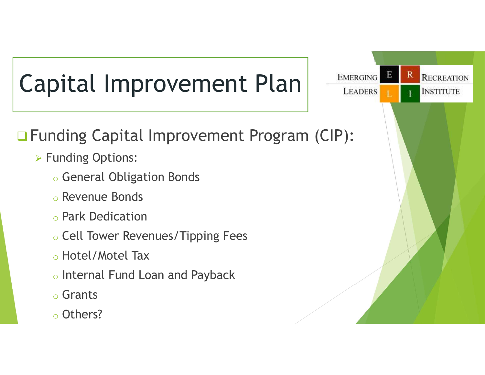

#### Funding Capital Improvement Program (CIP):

Е

R

**RECREATION** 

- **> Funding Options:** 
	- o General Obligation Bonds
	- o Revenue Bonds
	- o Park Dedication
	- o Cell Tower Revenues/Tipping Fees
	- o Hotel/Motel Tax
	- o Internal Fund Loan and Payback
	- o Grants
	- o Others?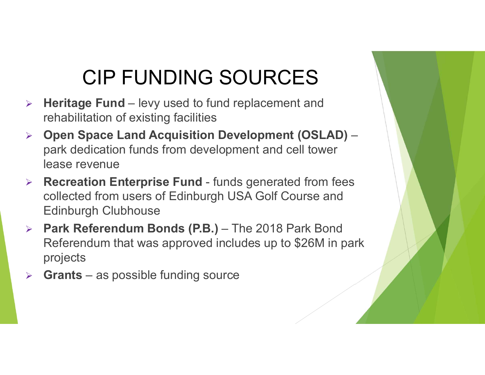#### CIP FUNDING SOURCES

- CIP FUNDING SOURCES<br>
→ Heritage Fund levy used to fund replacement and<br>
rehabilitation of existing facilities<br>
→ Open Space Land Acquisition Development (OSLAD) rehabilitation of existing facilities
- $\triangleright$  Open Space Land Acquisition Development (OSLAD) park dedication funds from development and cell tower lease revenue CIP FUNDING SOURCES<br>
Recritage Fund - levy used to fund replacement and<br>
rehabilitation of existing facilities<br>
Popen Space Land Acquisition Development (OSLAD) -<br>
park dedication funds from development and cell tower<br>
lea Example fundation of existing facilities<br>  $\triangleright$  Open Space Land Acquisition Development<br>
park dedication funds from development and ce<br>
lease revenue<br>  $\triangleright$  Recreation Enterprise Fund - funds generated<br>
collected from u
- collected from users of Edinburgh USA Golf Course and Edinburgh Clubhouse
- CIP FUNDING SOURCES<br>
> Heritage Fund levy used to fund replacement and<br>
rehabilitation of existing facilities<br>
> Open Space Land Acquisition Development (OSLAD) –<br>
park dedication funds from development and cell tower<br>
l Referendum that was approved includes up to \$26M in park projects
-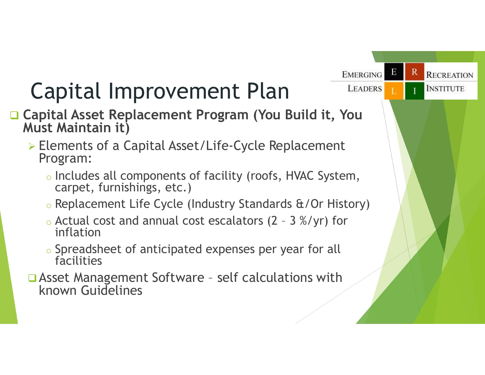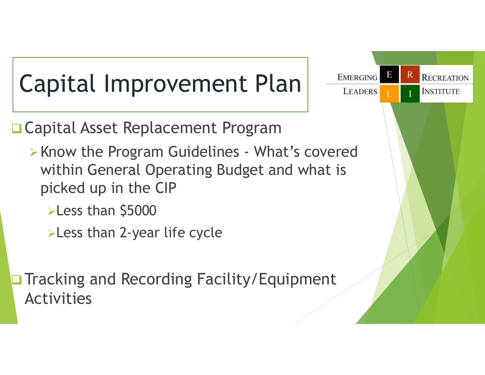

**□ Capital Asset Replacement Program** 

- within General Operating Budget and what is picked up in the CIP
	- **>Less than \$5000**
	- **>Less than 2-year life cycle**

**□ Tracking and Recording Facility/Equipment** Activities

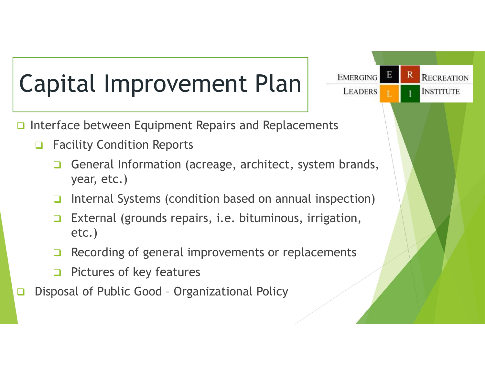## Capital Improvement Plan FLEADERS

- Interface between Equipment Repairs and Replacements
	- □ Facility Condition Reports
- General Information (acreage, architect, system brands, year, etc.) <ul>\n<li>□ Facility Condition Reports</li>\n<li>□ General Information (acreage, architect, system brands year, etc.)</li>\n<li>□ Internal Systems (condition based on annual inspection)</li>\n<li>□ External (grounds repairs, i.e. bituminous,irrigation, etc.)</li>\n<li>□ Recording of general improvements or replacements</li>\n<li>□ Pictures of key features</li>\n<li>□ Disposal of Public Good - Organizational Policy</li>\n</ul>

Е

R

**RECREATION** 

- Internal Systems (condition based on annual inspection)
- **External (grounds repairs, i.e. bituminous, irrigation,** etc.)
- $\Box$  Recording of general improvements or replacements
- $\Box$  Pictures of key features
-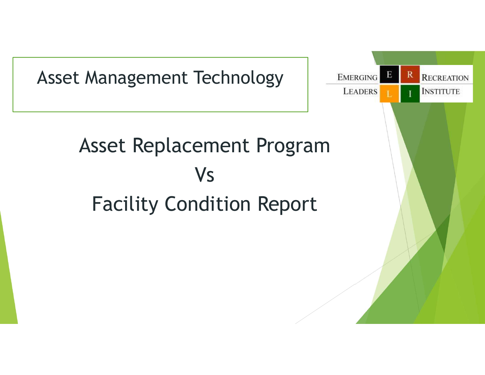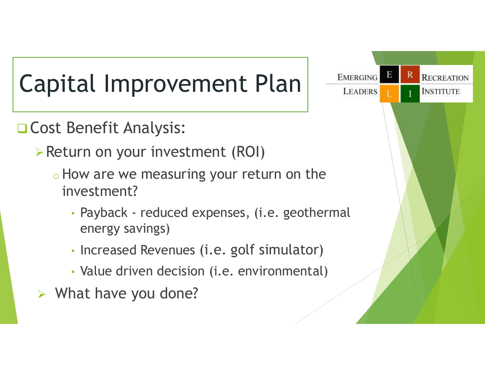## Capital Improvement Plan FLEADERS

□ Cost Benefit Analysis:

- Return on your investment (ROI)
	- o How are we measuring your return on the investment?
		- energy savings)
		- Increased Revenues (i.e. golf simulator)
		- Value driven decision (i.e. environmental)
- $\triangleright$  What have you done?

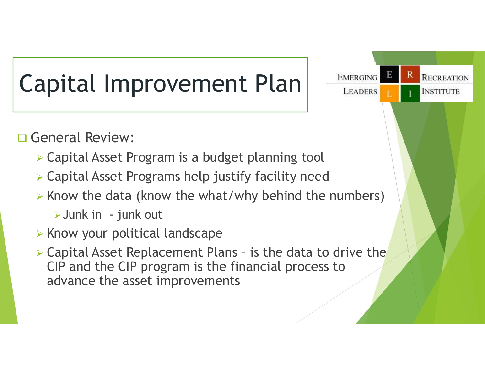

**General Review:** 

- Capital Asset Program is a budget planning tool
- Capital Asset Programs help justify facility need
- $\triangleright$  Know the data (know the what/why behind the numbers)

Е

R

**RECREATION** 

- $\triangleright$  Know your political landscape
- General Review:<br>
> Capital Asset Program is a budget planning tool<br>
> Capital Asset Programs help justify facility need<br>
> Know the data (know the what/why behind the numbers)<br>
> Junk in junk out<br>
> Know your political l CIP and the CIP program is the financial process to advance the asset improvements